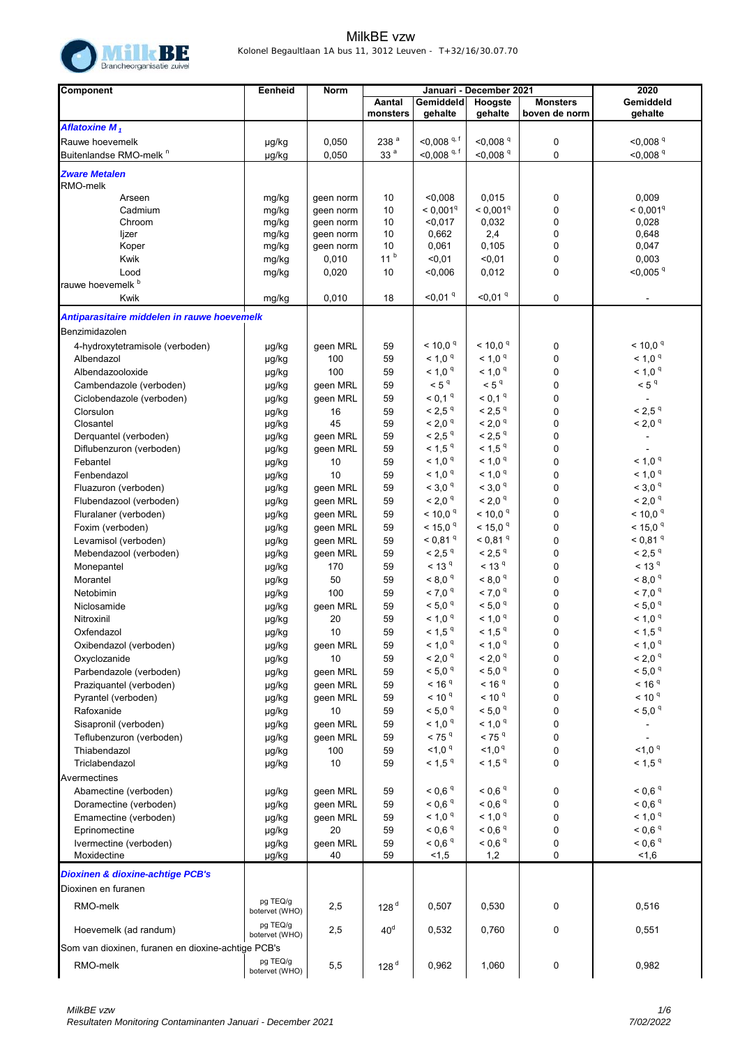

| Component                                          | Eenheid                    | Norm            |                    | Januari - December 2021              | 2020                                  |                                  |                                               |
|----------------------------------------------------|----------------------------|-----------------|--------------------|--------------------------------------|---------------------------------------|----------------------------------|-----------------------------------------------|
|                                                    |                            |                 | Aantal<br>monsters | Gemiddeld<br>gehalte                 | Hoogste<br>gehalte                    | <b>Monsters</b><br>boven de norm | Gemiddeld<br>gehalte                          |
| Aflatoxine $M_1$                                   |                            |                 |                    |                                      |                                       |                                  |                                               |
| Rauwe hoevemelk                                    | µg/kg                      | 0,050           | 238 <sup>a</sup>   | $<$ 0,008 <sup>q, f</sup>            | $<$ 0,008 $q$                         | 0                                | $<$ 0,008 $\rm{^{9}}$                         |
| Buitenlandse RMO-melk <sup>n</sup>                 | µg/kg                      | 0,050           | 33 <sup>a</sup>    | $<$ 0,008 <sup>q, f</sup>            | $< 0.008$ <sup>q</sup>                | 0                                | $<$ 0,008 $9$                                 |
| <b>Zware Metalen</b>                               |                            |                 |                    |                                      |                                       |                                  |                                               |
| RMO-melk<br>Arseen                                 | mg/kg                      | geen norm       | 10                 | < 0.008                              | 0,015                                 | 0                                | 0,009                                         |
| Cadmium                                            | mg/kg                      | geen norm       | 10                 | < 0.001 <sup>q</sup>                 | $< 0,001$ <sup>q</sup>                | 0                                | < 0.001 <sup>q</sup>                          |
| Chroom                                             | mg/kg                      | geen norm       | 10                 | < 0.017                              | 0,032                                 | 0                                | 0,028                                         |
| ljzer                                              | mg/kg                      | geen norm       | 10                 | 0,662                                | 2,4                                   | 0                                | 0,648                                         |
| Koper                                              | mg/kg                      | geen norm       | 10                 | 0,061                                | 0,105                                 | 0                                | 0,047                                         |
| Kwik                                               | mg/kg                      | 0,010           | 11 <sup>b</sup>    | $0,01$                               | < 0, 01                               | 0                                | 0,003                                         |
| Lood                                               | mg/kg                      | 0,020           | 10                 | 0,006                                | 0,012                                 | 0                                | $<$ 0,005 $q$                                 |
| rauwe hoevemelk b                                  |                            |                 |                    |                                      |                                       |                                  |                                               |
| Kwik                                               | mg/kg                      | 0,010           | 18                 | $<$ 0,01 $q$                         | $<$ 0,01 $q$                          | 0                                | $\sim$                                        |
| Antiparasitaire middelen in rauwe hoevemelk        |                            |                 |                    |                                      |                                       |                                  |                                               |
| Benzimidazolen                                     |                            |                 |                    |                                      |                                       |                                  |                                               |
| 4-hydroxytetramisole (verboden)                    | µg/kg                      | geen MRL        | 59                 | $< 10.0$ <sup>q</sup>                | $< 10.0$ <sup>q</sup>                 | 0                                | $<$ 10,0 $q$                                  |
| Albendazol                                         | µg/kg                      | 100             | 59                 | < 1,0 <sup>q</sup>                   | < 1.0 <sup>q</sup>                    | 0                                | < 1,0 <sup>q</sup>                            |
| Albendazooloxide                                   | µg/kg                      | 100             | 59                 | $< 1.0$ $q$                          | < 1,0 <sup>q</sup>                    | 0                                | < 1,0 <sup>q</sup>                            |
| Cambendazole (verboden)                            | µg/kg                      | geen MRL        | 59                 | < 5 <sup>q</sup>                     | < 5 <sup>q</sup>                      | 0                                | < 5 <sup>q</sup>                              |
| Ciclobendazole (verboden)                          | µg/kg                      | geen MRL        | 59                 | $< 0,1$ <sup>q</sup>                 | $<$ 0,1 $^{\rm q}$                    | 0                                | $\blacksquare$                                |
| Clorsulon                                          | µg/kg                      | 16              | 59                 | $< 2.5$ $q$                          | $< 2.5$ $q$                           | 0                                | $< 2.5$ $q$                                   |
| Closantel                                          | µg/kg                      | 45              | 59                 | < 2,0 <sup>q</sup>                   | < 2.0 <sup>q</sup>                    | $\mathbf 0$                      | < 2,0 <sup>q</sup>                            |
| Derquantel (verboden)                              | µg/kg                      | geen MRL        | 59                 | $< 2.5$ $q$                          | $< 2.5$ $q$                           | 0                                | $\blacksquare$                                |
| Diflubenzuron (verboden)                           | µg/kg                      | geen MRL        | 59                 | $< 1.5$ $q$                          | $< 1.5$ $q$                           | 0                                |                                               |
| Febantel                                           | µg/kg                      | 10              | 59                 | $< 1.0$ <sup>q</sup>                 | < 1,0 <sup>q</sup>                    | $\mathbf 0$                      | < 1.0 <sup>q</sup>                            |
| Fenbendazol                                        | µg/kg                      | 10              | 59                 | $< 1.0$ $q$                          | < 1.0 <sup>q</sup>                    | 0                                | < 1,0 <sup>q</sup>                            |
| Fluazuron (verboden)                               | µg/kg                      | geen MRL        | 59                 | < 3.0 <sup>9</sup>                   | < 3.0 <sup>9</sup>                    | 0                                | < 3.0 <sup>9</sup>                            |
| Flubendazool (verboden)                            | µg/kg                      | geen MRL        | 59                 | < 2,0 <sup>q</sup>                   | $< 2.0$ $q$                           | $\mathbf 0$                      | < 2,0 <sup>q</sup>                            |
| Fluralaner (verboden)                              | µg/kg                      | geen MRL        | 59                 | < 10,0 <sup>q</sup>                  | $< 10,0$ <sup>q</sup>                 | 0                                | $< 10,0 ^{q}$                                 |
| Foxim (verboden)                                   | µg/kg                      | geen MRL        | 59                 | $<$ 15,0 $q$                         | $<$ 15,0 $q$<br>$< 0.81$ <sup>q</sup> | 0                                | $<$ 15,0 $q$                                  |
| Levamisol (verboden)                               | µg/kg                      | geen MRL        | 59<br>59           | $< 0.81$ <sup>q</sup><br>$< 2.5$ $q$ | $<$ 2,5 $^{\circ}$                    | 0<br>0                           | $< 0.81$ <sup>q</sup><br>$< 2.5$ <sup>q</sup> |
| Mebendazool (verboden)<br>Monepantel               | µg/kg                      | geen MRL<br>170 | 59                 | $<$ 13 <sup>q</sup>                  | $<$ 13 <sup>q</sup>                   | 0                                | $<$ 13 <sup>q</sup>                           |
| Morantel                                           | µg/kg                      | 50              | 59                 | $< 8.0$ $q$                          | $< 8.0$ $q$                           | 0                                | < 8.0 <sup>q</sup>                            |
| Netobimin                                          | µg/kg                      | 100             | 59                 | $< 7.0$ $q$                          | < 7,0 <sup>q</sup>                    | 0                                | < 7,0 <sup>q</sup>                            |
| Niclosamide                                        | µg/kg<br>µg/kg             | geen MRL        | 59                 | $< 5.0$ $q$                          | $<$ 5,0 $^{\rm q}$                    | 0                                | $< 5.0$ $q$                                   |
| Nitroxinil                                         | µg/kg                      | 20              | 59                 | < 1,0 <sup>q</sup>                   | < 1,0 <sup>q</sup>                    | 0                                | < 1,0 <sup>q</sup>                            |
| Oxfendazol                                         | µg/kg                      | 10              | 59                 | $<$ 1,5 $^{\rm q}$                   | $<$ 1,5 $^{\rm q}$                    | $\overline{0}$                   | $<$ 1,5 $^{\rm q}$                            |
| Oxibendazol (verboden)                             | µg/kg                      | geen MRL        | 59                 | < 1,0 <sup>q</sup>                   | < 1.0 <sup>q</sup>                    | 0                                | < 1,0 <sup>q</sup>                            |
| Oxyclozanide                                       | µg/kg                      | 10              | 59                 | < 2,0 <sup>q</sup>                   | < 2,0 <sup>q</sup>                    | 0                                | < 2,0 <sup>q</sup>                            |
| Parbendazole (verboden)                            | µg/kg                      | geen MRL        | 59                 | < 5,0 <sup>q</sup>                   | < 5,0 <sup>q</sup>                    | 0                                | < 5,0 <sup>q</sup>                            |
| Praziquantel (verboden)                            | µg/kg                      | geen MRL        | 59                 | < 16 <sup>q</sup>                    | < 16 <sup>q</sup>                     | 0                                | < 16 <sup>q</sup>                             |
| Pyrantel (verboden)                                | µg/kg                      | geen MRL        | 59                 | < 10 <sup>q</sup>                    | < 10 <sup>q</sup>                     | 0                                | < 10 <sup>q</sup>                             |
| Rafoxanide                                         | µg/kg                      | 10              | 59                 | $< 5.0$ $q$                          | $< 5.0$ $q$                           | 0                                | < 5.0 <sup>q</sup>                            |
| Sisapronil (verboden)                              | µg/kg                      | geen MRL        | 59                 | < 1,0 <sup>q</sup>                   | < 1.0 <sup>q</sup>                    | 0                                | $\blacksquare$                                |
| Teflubenzuron (verboden)                           | µg/kg                      | geen MRL        | 59                 | $< 75$ <sup>q</sup>                  | $< 75$ <sup>q</sup>                   | 0                                | $\blacksquare$                                |
| Thiabendazol                                       | µg/kg                      | 100             | 59                 | $1,0^9$                              | $1,0^9$                               | 0                                | $<$ 1,0 $^{\circ}$                            |
| Triclabendazol                                     | µg/kg                      | 10              | 59                 | $< 1.5$ <sup>q</sup>                 | $< 1.5$ $q$                           | 0                                | < 1.5 <sup>q</sup>                            |
| Avermectines                                       |                            |                 |                    |                                      |                                       |                                  |                                               |
| Abamectine (verboden)                              | µg/kg                      | geen MRL        | 59                 | $< 0.6$ <sup>q</sup>                 | $<$ 0,6 $^{\rm q}$                    | 0                                | < 0.6 <sup>q</sup>                            |
| Doramectine (verboden)                             | µg/kg                      | geen MRL        | 59                 | $< 0.6$ <sup>q</sup>                 | $< 0.6$ <sup>q</sup>                  | 0                                | $< 0.6$ <sup>q</sup>                          |
| Emamectine (verboden)                              | µg/kg                      | geen MRL        | 59                 | < 1,0 <sup>q</sup>                   | < 1.0 <sup>q</sup>                    | 0                                | < 1,0 <sup>q</sup>                            |
| Eprinomectine                                      | µg/kg                      | 20              | 59                 | $< 0.6$ <sup>q</sup>                 | $< 0.6$ <sup>q</sup>                  | 0                                | < 0.6 <sup>q</sup>                            |
| Ivermectine (verboden)                             | µg/kg                      | geen MRL        | 59                 | < 0.6 <sup>q</sup>                   | $< 0.6$ <sup>q</sup>                  | 0                                | < 0.6 <sup>q</sup>                            |
| Moxidectine                                        | µg/kg                      | 40              | 59                 | 1,5                                  | 1,2                                   | 0                                | 1,6                                           |
| <b>Dioxinen &amp; dioxine-achtige PCB's</b>        |                            |                 |                    |                                      |                                       |                                  |                                               |
| Dioxinen en furanen                                |                            |                 |                    |                                      |                                       |                                  |                                               |
| RMO-melk                                           | pg TEQ/g<br>botervet (WHO) | 2,5             | 128 <sup>d</sup>   | 0,507                                | 0,530                                 | 0                                | 0,516                                         |
| Hoevemelk (ad randum)                              | pg TEQ/g<br>botervet (WHO) | 2,5             | 40 <sup>d</sup>    | 0,532                                | 0,760                                 | 0                                | 0,551                                         |
| Som van dioxinen, furanen en dioxine-achtige PCB's |                            |                 |                    |                                      |                                       |                                  |                                               |
| RMO-melk                                           | pg TEQ/g<br>botervet (WHO) | 5,5             | 128 $d$            | 0,962                                | 1,060                                 | 0                                | 0,982                                         |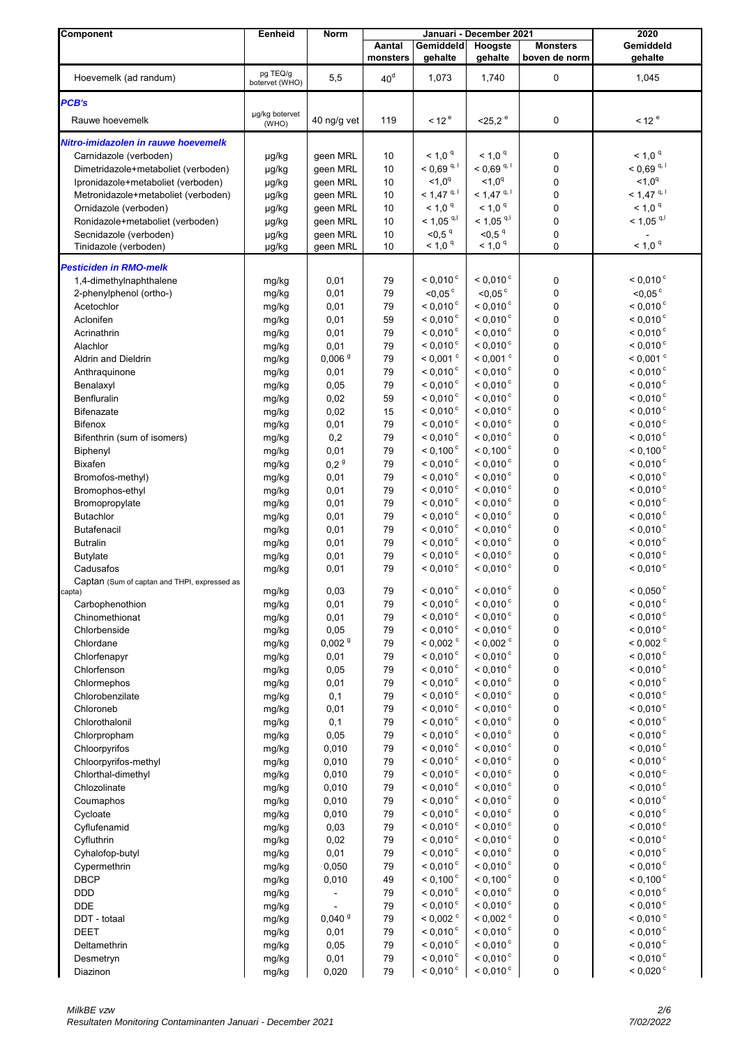| Component                                    | Eenheid        | Norm               |                 |                                          | Januari - December 2021        |                  | 2020                     |
|----------------------------------------------|----------------|--------------------|-----------------|------------------------------------------|--------------------------------|------------------|--------------------------|
|                                              |                |                    | Aantal          | Gemiddeld                                | Hoogste                        | <b>Monsters</b>  | Gemiddeld                |
|                                              |                |                    | monsters        | gehalte                                  | gehalte                        | boven de norm    | gehalte                  |
| Hoevemelk (ad randum)                        | pg TEQ/g       | 5,5                | 40 <sup>d</sup> | 1,073                                    | 1,740                          | 0                | 1,045                    |
|                                              | botervet (WHO) |                    |                 |                                          |                                |                  |                          |
| PCB's                                        |                |                    |                 |                                          |                                |                  |                          |
|                                              | µg/kg botervet |                    |                 |                                          |                                |                  |                          |
| Rauwe hoevemelk                              | (WHO)          | 40 ng/g vet        | 119             | < 12 <sup>e</sup>                        | $<$ 25,2 $^{\circ}$            | 0                | 12 <sup>e</sup>          |
| Nitro-imidazolen in rauwe hoevemelk          |                |                    |                 |                                          |                                |                  |                          |
| Carnidazole (verboden)                       | µg/kg          | geen MRL           | 10              | < 1.0 <sup>9</sup>                       | < 1.0 <sup>q</sup>             | 0                | $< 1.0$ $q$              |
| Dimetridazole+metaboliet (verboden)          | µg/kg          | geen MRL           | 10              | $< 0.69$ <sup>q, 1</sup>                 | $< 0.69$ <sup>q, 1</sup>       | $\mathbf 0$      | $< 0.69$ <sup>q, 1</sup> |
| Ipronidazole+metaboliet (verboden)           | µg/kg          | geen MRL           | 10              | $1.0^q$                                  | $1.0^q$                        | $\mathbf 0$      | $1.0^q$                  |
|                                              |                |                    | 10              | $< 1,47$ <sup>q, 1</sup>                 | $< 1,47$ <sup>q, 1</sup>       | $\mathbf 0$      | $< 1,47$ <sup>q, 1</sup> |
| Metronidazole+metaboliet (verboden)          | µg/kg          | geen MRL           |                 | < 1.0 <sup>q</sup>                       | $< 1.0$ <sup>q</sup>           | $\mathbf 0$      | $< 1.0$ <sup>q</sup>     |
| Ornidazole (verboden)                        | µg/kg          | geen MRL           | 10              |                                          | $< 1,05$ <sup>q,l</sup>        |                  | $< 1,05$ <sup>q,l</sup>  |
| Ronidazole+metaboliet (verboden)             | µg/kg          | geen MRL           | 10              | $< 1,05$ <sup>q,l</sup>                  |                                | $\mathbf 0$      |                          |
| Secnidazole (verboden)                       | µg/kg          | geen MRL           | 10              | < 0.5 <sup>q</sup><br>$<$ 1,0 $^{\rm q}$ | < 0.5 <sup>q</sup><br>$< 1,0q$ | $\mathbf 0$<br>0 | < 1.0 <sup>q</sup>       |
| Tinidazole (verboden)                        | µg/kg          | geen MRL           | 10              |                                          |                                |                  |                          |
| <b>Pesticiden in RMO-melk</b>                |                |                    |                 |                                          |                                |                  |                          |
| 1,4-dimethylnaphthalene                      | mg/kg          | 0,01               | 79              | $< 0.010$ <sup>c</sup>                   | $< 0.010$ <sup>c</sup>         | 0                | $< 0,010$ <sup>c</sup>   |
| 2-phenylphenol (ortho-)                      | mg/kg          | 0,01               | 79              | $<$ 0,05 $\degree$                       | $<$ 0,05 $\degree$             | $\mathbf 0$      | $<$ 0,05 $\degree$       |
| Acetochlor                                   | mg/kg          | 0,01               | 79              | $< 0.010$ °                              | $< 0.010$ °                    | 0                | $<$ 0,010 $\degree$      |
| Aclonifen                                    | mg/kg          | 0,01               | 59              | $< 0.010$ <sup>c</sup>                   | $< 0.010$ <sup>c</sup>         | $\mathbf 0$      | < 0.010 °                |
| Acrinathrin                                  | mg/kg          | 0,01               | 79              | < 0.010 °                                | $< 0.010$ <sup>c</sup>         | 0                | $< 0.010$ °              |
| Alachlor                                     | mg/kg          | 0,01               | 79              | $< 0.010$ <sup>c</sup>                   | $< 0,010$ <sup>c</sup>         | $\mathbf 0$      | $< 0.010$ °              |
| Aldrin and Dieldrin                          | mg/kg          | 0,006 <sup>9</sup> | 79              | $< 0.001$ $\degree$                      | $< 0,001$ <sup>c</sup>         | $\mathbf 0$      | $< 0,001$ <sup>c</sup>   |
| Anthraquinone                                | mg/kg          | 0,01               | 79              | $< 0.010$ <sup>c</sup>                   | $< 0.010$ <sup>c</sup>         | $\mathbf 0$      | $< 0.010$ °              |
| Benalaxyl                                    | mg/kg          | 0,05               | 79              | $< 0.010$ °                              | $< 0.010$ °                    | 0                | $< 0.010$ °              |
| Benfluralin                                  |                | 0,02               | 59              | $< 0.010$ <sup>c</sup>                   | $< 0.010$ <sup>c</sup>         | $\mathbf 0$      | $< 0.010$ °              |
| <b>Bifenazate</b>                            | mg/kg          | 0,02               | 15              | $< 0.010$ <sup>c</sup>                   | $< 0,010$ <sup>c</sup>         | $\mathbf 0$      | $< 0.010$ <sup>c</sup>   |
|                                              | mg/kg          |                    |                 | $< 0.010$ <sup>c</sup>                   | $< 0.010$ <sup>c</sup>         |                  | $< 0.010$ °              |
| <b>Bifenox</b>                               | mg/kg          | 0,01               | 79              |                                          |                                | $\mathbf 0$      |                          |
| Bifenthrin (sum of isomers)                  | mg/kg          | 0,2                | 79              | $< 0.010$ °                              | $< 0.010$ <sup>c</sup>         | $\mathbf 0$      | $< 0.010$ <sup>c</sup>   |
| Biphenyl                                     | mg/kg          | 0,01               | 79              | $< 0,100$ <sup>c</sup>                   | $< 0,100$ <sup>c</sup>         | $\mathbf 0$      | $< 0.100^{\circ}$        |
| <b>Bixafen</b>                               | mg/kg          | 0,2 <sup>9</sup>   | 79              | $< 0.010$ °                              | $< 0,010$ <sup>c</sup>         | $\mathbf 0$      | $< 0,010$ <sup>c</sup>   |
| Bromofos-methyl)                             | mg/kg          | 0,01               | 79              | $< 0.010$ °                              | $< 0,010$ <sup>c</sup>         | $\mathbf 0$      | $< 0,010$ <sup>c</sup>   |
| Bromophos-ethyl                              | mg/kg          | 0,01               | 79              | $< 0,010$ <sup>c</sup>                   | $< 0,010$ <sup>c</sup>         | $\mathbf 0$      | $< 0,010$ <sup>c</sup>   |
| Bromopropylate                               | mg/kg          | 0,01               | 79              | $< 0.010$ °                              | $< 0,010$ <sup>c</sup>         | $\mathbf 0$      | $< 0.010$ °              |
| <b>Butachlor</b>                             | mg/kg          | 0,01               | 79              | $< 0.010$ °                              | $< 0,010$ <sup>c</sup>         | $\mathbf 0$      | $< 0.010$ °              |
| <b>Butafenacil</b>                           | mg/kg          | 0,01               | 79              | $< 0.010$ °                              | $< 0,010$ <sup>c</sup>         | $\mathbf 0$      | $< 0,010$ <sup>c</sup>   |
| <b>Butralin</b>                              | mg/kg          | 0,01               | 79              | $< 0,010$ <sup>c</sup>                   | $< 0,010$ <sup>c</sup>         | $\mathbf 0$      | $< 0,010$ <sup>c</sup>   |
| <b>Butylate</b>                              | mg/kg          | 0,01               | 79              | $< 0,010$ <sup>c</sup>                   | $< 0.010$ <sup>c</sup>         | 0                | $< 0,010$ <sup>c</sup>   |
| Cadusafos                                    | mg/kg          | 0,01               | 79              | $< 0,010$ <sup>c</sup>                   | $< 0,010$ <sup>c</sup>         | $\mathbf 0$      | $< 0,010$ <sup>c</sup>   |
| Captan (Sum of captan and THPI, expressed as |                |                    |                 |                                          |                                |                  |                          |
| capta)                                       | mg/kg          | 0,03               | 79              | $<$ 0,010 $^{\circ}$                     | $<$ 0,010 $^{\circ}$           | 0                | $<$ 0,050 $<$            |
| Carbophenothion                              | mg/kg          | 0,01               | 79              | $< 0,010$ <sup>c</sup>                   | $<$ 0,010 $\degree$            | $\pmb{0}$        | $< 0.010$ <sup>c</sup>   |
| Chinomethionat                               | mg/kg          | 0,01               | 79              | $< 0,010$ <sup>c</sup>                   | $< 0.010$ <sup>c</sup>         | $\pmb{0}$        | $< 0.010$ <sup>c</sup>   |
| Chlorbenside                                 | mg/kg          | 0,05               | 79              | $< 0.010$ °                              | $< 0.010$ <sup>c</sup>         | 0                | $< 0.010$ <sup>c</sup>   |
| Chlordane                                    | mg/kg          | 0,002 <sup>9</sup> | 79              | $< 0.002$ $\degree$                      | $<$ 0,002 $\degree$            | 0                | $<$ 0,002 $\degree$      |
| Chlorfenapyr                                 | mg/kg          | 0,01               | 79              | $< 0.010$ <sup>c</sup>                   | $<$ 0,010 $^{\circ}$           | $\pmb{0}$        | $<$ 0,010 $^{\circ}$     |
| Chlorfenson                                  | mg/kg          | 0,05               | 79              | $< 0.010$ °                              | $< 0.010$ <sup>c</sup>         | $\pmb{0}$        | $<$ 0,010 $^{\circ}$     |
| Chlormephos                                  | mg/kg          | 0,01               | 79              | $< 0.010$ °                              | $< 0,010$ <sup>c</sup>         | $\pmb{0}$        | $< 0,010$ <sup>c</sup>   |
| Chlorobenzilate                              | mg/kg          | 0,1                | 79              | $< 0.010$ °                              | $< 0,010$ <sup>c</sup>         | 0                | $< 0.010$ <sup>c</sup>   |
| Chloroneb                                    | mg/kg          | 0,01               | 79              | $< 0.010$ <sup>c</sup>                   | $<$ 0,010 $^{\circ}$           | $\pmb{0}$        | $< 0,010$ <sup>c</sup>   |
| Chlorothalonil                               | mg/kg          | 0,1                | 79              | $< 0.010$ °                              | $< 0.010$ <sup>c</sup>         | $\pmb{0}$        | $<$ 0,010 $^{\circ}$     |
| Chlorpropham                                 | mg/kg          | 0,05               | 79              | $< 0.010$ °                              | $< 0.010$ <sup>c</sup>         | 0                | $<$ 0,010 $^{\circ}$     |
| Chloorpyrifos                                | mg/kg          | 0,010              | 79              | $< 0.010$ °                              | $< 0,010$ <sup>c</sup>         | $\pmb{0}$        | $< 0,010$ <sup>c</sup>   |
| Chloorpyrifos-methyl                         | mg/kg          | 0,010              | 79              | $< 0,010$ <sup>c</sup>                   | $<$ 0,010 $\degree$            | $\pmb{0}$        | $< 0,010$ <sup>c</sup>   |
| Chlorthal-dimethyl                           | mg/kg          | 0,010              | 79              | $< 0.010$ °                              | $< 0.010$ <sup>c</sup>         | $\pmb{0}$        | $< 0,010$ <sup>c</sup>   |
| Chlozolinate                                 | mg/kg          | 0,010              | 79              | $< 0.010$ °                              | $< 0.010$ <sup>c</sup>         | $\pmb{0}$        | $< 0,010$ <sup>c</sup>   |
| Coumaphos                                    | mg/kg          | 0,010              | 79              | $< 0.010$ °                              | $< 0,010$ <sup>c</sup>         | $\pmb{0}$        | $< 0,010$ <sup>c</sup>   |
| Cycloate                                     | mg/kg          | 0,010              | 79              | $< 0,010$ <sup>c</sup>                   | $<$ 0,010 $\degree$            | $\pmb{0}$        | $< 0,010$ <sup>c</sup>   |
| Cyflufenamid                                 | mg/kg          | 0,03               | 79              | $< 0.010$ °                              | $<$ 0,010 $\degree$            | $\pmb{0}$        | $<$ 0,010 $^{\circ}$     |
| Cyfluthrin                                   |                | 0,02               | 79              | $< 0.010$ °                              | $< 0,010$ <sup>c</sup>         | $\pmb{0}$        | $< 0,010$ <sup>c</sup>   |
| Cyhalofop-butyl                              | mg/kg          | 0,01               | 79              | $< 0.010$ °                              | $< 0.010$ <sup>c</sup>         | $\pmb{0}$        | $< 0,010$ <sup>c</sup>   |
|                                              | mg/kg          |                    | 79              | $< 0.010$ °                              | $<$ 0,010 $\degree$            | $\pmb{0}$        | $<$ 0,010 $\degree$      |
| Cypermethrin                                 | mg/kg          | 0,050              |                 | $< 0.100^{\circ}$                        | $< 0,100$ <sup>c</sup>         |                  | $< 0,100$ <sup>c</sup>   |
| <b>DBCP</b>                                  | mg/kg          | 0,010              | 49              |                                          | $< 0.010$ <sup>c</sup>         | $\pmb{0}$        |                          |
| <b>DDD</b>                                   | mg/kg          |                    | 79              | $< 0.010$ °                              |                                | $\pmb{0}$        | $<$ 0,010 $^{\circ}$     |
| <b>DDE</b>                                   | mg/kg          |                    | 79              | $< 0.010$ °                              | $<$ 0,010 $\degree$            | 0                | $< 0,010$ <sup>c</sup>   |
| DDT - totaal                                 | mg/kg          | 0,040 <sup>9</sup> | 79              | $<$ 0,002 $^{\circ}$                     | $< 0,002$ <sup>c</sup>         | 0                | $< 0,010$ $\degree$      |
| <b>DEET</b>                                  | mg/kg          | 0,01               | 79              | $< 0.010$ <sup>c</sup>                   | $< 0.010$ <sup>c</sup>         | $\pmb{0}$        | $< 0,010$ <sup>c</sup>   |
| Deltamethrin                                 | mg/kg          | 0,05               | 79              | $< 0.010$ °                              | $< 0.010$ <sup>c</sup>         | 0                | $<$ 0,010 $^{\circ}$     |
| Desmetryn                                    | mg/kg          | 0,01               | 79              | $< 0.010$ °                              | $< 0,010$ <sup>c</sup>         | 0                | $<$ 0,010 $^{\circ}$     |
| Diazinon                                     | mg/kg          | 0,020              | 79              | $<$ 0,010 $\degree$                      | $<$ 0,010 $\degree$            | 0                | $< 0,020$ <sup>c</sup>   |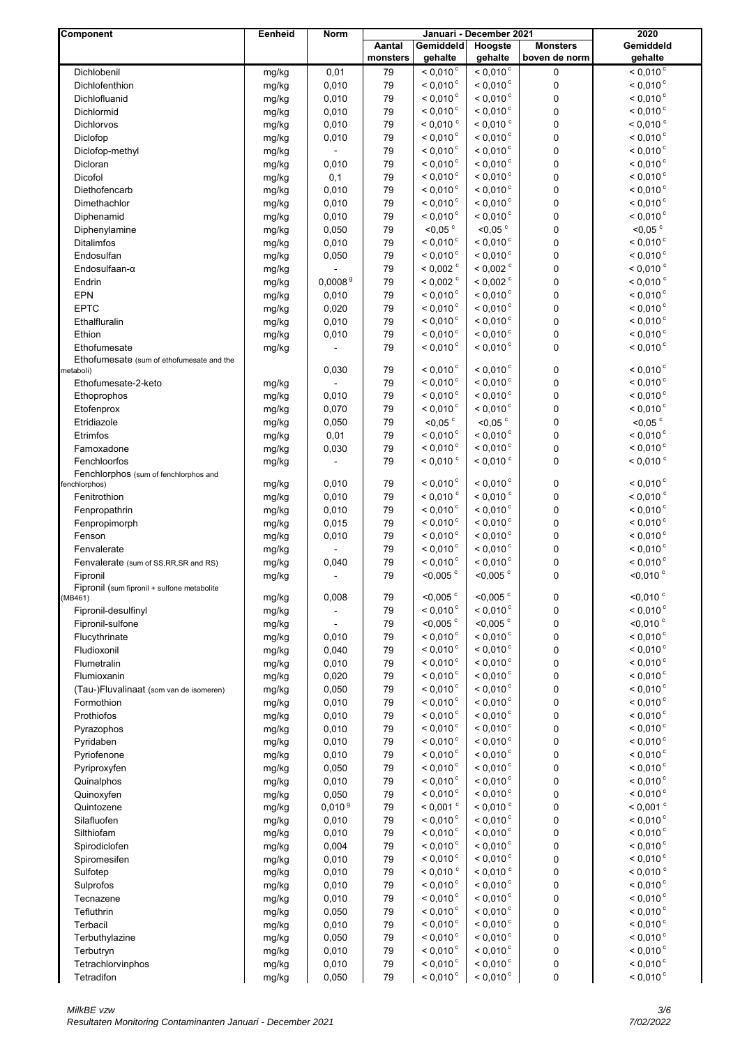| Component                                              | Eenheid        | Norm                |                    | Januari - December 2021                          | 2020                                          |                                  |                                             |
|--------------------------------------------------------|----------------|---------------------|--------------------|--------------------------------------------------|-----------------------------------------------|----------------------------------|---------------------------------------------|
|                                                        |                |                     | Aantal<br>monsters | Gemiddeld<br>gehalte                             | Hoogste<br>gehalte                            | <b>Monsters</b><br>boven de norm | Gemiddeld                                   |
| Dichlobenil                                            |                |                     |                    | $< 0.010^{\circ}$                                | $< 0.010$ <sup>c</sup>                        | 0                                | gehalte<br>$< 0,010^{\circ}$                |
| Dichlofenthion                                         | mg/kg<br>mg/kg | 0,01<br>0,010       | 79<br>79           | $< 0.010$ <sup>c</sup>                           | $< 0.010$ <sup>c</sup>                        | 0                                | $< 0.010$ <sup>c</sup>                      |
| Dichlofluanid                                          | mg/kg          | 0,010               | 79                 | $< 0.010$ <sup>c</sup>                           | $< 0.010$ <sup>c</sup>                        | $\mathbf 0$                      | $< 0,010$ <sup>c</sup>                      |
| Dichlormid                                             | mg/kg          | 0,010               | 79                 | $< 0,010$ <sup>c</sup>                           | $< 0.010$ <sup>c</sup>                        | $\mathbf 0$                      | $< 0.010$ <sup>c</sup>                      |
| Dichlorvos                                             | mg/kg          | 0,010               | 79                 | $< 0.010$ $\degree$                              | $< 0,010$ <sup>c</sup>                        | $\mathbf 0$                      | $< 0,010$ <sup>c</sup>                      |
| Diclofop                                               | mg/kg          | 0,010               | 79                 | $< 0.010$ °                                      | $< 0.010$ <sup>c</sup>                        | $\mathbf 0$                      | $< 0.010$ <sup>c</sup>                      |
| Diclofop-methyl                                        | mg/kg          |                     | 79                 | $< 0.010$ <sup>c</sup>                           | $< 0,010$ <sup>c</sup>                        | 0                                | $< 0,010$ <sup>c</sup>                      |
| Dicloran                                               | mg/kg          | 0,010               | 79                 | $< 0,010$ <sup>c</sup>                           | $< 0,010$ <sup>c</sup>                        | $\pmb{0}$                        | $< 0,010$ <sup>c</sup>                      |
| Dicofol                                                | mg/kg          | 0,1                 | 79                 | $< 0,010$ <sup>c</sup>                           | $< 0.010$ <sup>c</sup>                        | 0                                | $< 0.010$ <sup>c</sup>                      |
| Diethofencarb                                          | mg/kg          | 0,010               | 79                 | $< 0.010$ <sup>c</sup>                           | $< 0.010$ <sup>c</sup>                        | $\mathbf 0$                      | $< 0.010$ <sup>c</sup>                      |
| Dimethachlor                                           | mg/kg          | 0,010               | 79                 | $< 0.010$ <sup>c</sup>                           | $< 0,010$ <sup>c</sup>                        | 0                                | $< 0.010$ <sup>c</sup>                      |
| Diphenamid                                             | mg/kg          | 0,010               | 79                 | $< 0,010$ <sup>c</sup>                           | $< 0,010$ <sup>c</sup>                        | 0                                | $<$ 0,010 $\degree$                         |
| Diphenylamine                                          | mg/kg          | 0,050               | 79                 | $<$ 0,05 $\degree$                               | $<$ 0,05 $\degree$                            | $\pmb{0}$                        | $<$ 0,05 $\degree$                          |
| <b>Ditalimfos</b>                                      | mg/kg          | 0,010               | 79                 | $< 0.010$ °                                      | $< 0.010$ <sup>c</sup>                        | $\mathbf 0$                      | $< 0,010$ <sup>c</sup>                      |
| Endosulfan                                             | mg/kg          | 0,050               | 79                 | $< 0.010$ <sup>c</sup>                           | $< 0.010$ <sup>c</sup>                        | $\mathbf 0$                      | $< 0.010$ <sup>c</sup>                      |
| Endosulfaan- $\alpha$                                  | mg/kg          |                     | 79                 | $<$ 0,002 $\degree$                              | $<$ 0,002 $^{\circ}$                          | 0                                | $< 0,010$ <sup>c</sup>                      |
| Endrin                                                 | mg/kg          | 0,0008 <sup>9</sup> | 79                 | $<$ 0,002 $\degree$                              | $<$ 0,002 $\degree$                           | $\mathbf 0$                      | $< 0.010$ $\degree$                         |
| EPN                                                    | mg/kg          | 0,010               | 79                 | $< 0.010$ <sup>c</sup>                           | $< 0.010$ <sup>c</sup>                        | $\mathbf 0$                      | $< 0.010$ <sup>c</sup>                      |
| <b>EPTC</b>                                            | mg/kg          | 0,020               | 79                 | $< 0.010$ <sup>c</sup>                           | $< 0.010$ <sup>c</sup>                        | 0                                | $< 0,010$ <sup>c</sup>                      |
| Ethalfluralin                                          | mg/kg          | 0,010               | 79                 | $< 0,010$ <sup>c</sup>                           | $< 0,010$ <sup>c</sup>                        | $\pmb{0}$                        | $< 0,010$ <sup>c</sup>                      |
| Ethion                                                 | mg/kg          | 0,010               | 79                 | $< 0.010$ <sup>c</sup>                           | $< 0.010$ <sup>c</sup>                        | $\pmb{0}$                        | $< 0.010$ <sup>c</sup>                      |
| Ethofumesate                                           | mg/kg          |                     | 79                 | $< 0.010$ <sup>c</sup>                           | $< 0,010$ <sup>c</sup>                        | 0                                | $< 0,010$ <sup>c</sup>                      |
| Ethofumesate (sum of ethofumesate and the              |                |                     |                    |                                                  |                                               |                                  |                                             |
| metaboli)                                              |                | 0,030               | 79                 | $< 0.010$ °                                      | $< 0.010$ <sup>c</sup>                        | 0                                | $< 0,010$ <sup>c</sup>                      |
| Ethofumesate-2-keto                                    | mg/kg          |                     | 79                 | $< 0.010$ <sup>c</sup>                           | $< 0.010$ <sup>c</sup>                        | 0                                | $< 0.010$ <sup>c</sup>                      |
| Ethoprophos                                            | mg/kg          | 0,010               | 79                 | $< 0,010$ <sup>c</sup>                           | $< 0,010$ <sup>c</sup>                        | $\pmb{0}$                        | $< 0.010$ <sup>c</sup>                      |
| Etofenprox                                             | mg/kg          | 0,070               | 79                 | $< 0,010$ <sup>c</sup>                           | $< 0,010$ <sup>c</sup>                        | $\pmb{0}$                        | $<$ 0,010 $^{\circ}$                        |
| Etridiazole                                            | mg/kg          | 0,050               | 79                 | $< 0.05$ °                                       | $<$ 0,05 $\degree$                            | 0                                | $<$ 0,05 $\degree$                          |
| Etrimfos                                               | mg/kg          | 0,01                | 79                 | $< 0.010$ <sup>c</sup>                           | $< 0.010$ <sup>c</sup>                        | 0                                | $< 0.010$ <sup>c</sup>                      |
| Famoxadone                                             | mg/kg          | 0,030               | 79                 | $< 0,010$ <sup>c</sup>                           | $< 0,010$ <sup>c</sup>                        | $\pmb{0}$                        | $< 0,010$ <sup>c</sup>                      |
| Fenchloorfos                                           | mg/kg          |                     | 79                 | $< 0,010$ <sup>c</sup>                           | $<$ 0,010 $\degree$                           | $\pmb{0}$                        | $<$ 0,010 $\degree$                         |
| Fenchlorphos (sum of fenchlorphos and<br>fenchlorphos) | mg/kg          | 0,010               | 79                 | $< 0.010$ °                                      | $< 0,010$ <sup>c</sup>                        | 0                                | $< 0,010$ <sup>c</sup>                      |
| Fenitrothion                                           | mg/kg          | 0,010               | 79                 | $< 0,010$ °                                      | $< 0,010$ <sup>c</sup>                        | 0                                | $< 0.010$ $\degree$                         |
| Fenpropathrin                                          | mg/kg          | 0,010               | 79                 | $< 0.010$ <sup>c</sup>                           | $< 0.010$ <sup>c</sup>                        | 0                                | $< 0.010$ <sup>c</sup>                      |
| Fenpropimorph                                          | mg/kg          | 0,015               | 79                 | $< 0.010$ <sup>c</sup>                           | $< 0,010$ <sup>c</sup>                        | $\pmb{0}$                        | $< 0.010$ °                                 |
| Fenson                                                 | mg/kg          | 0,010               | 79                 | $< 0.010$ <sup>c</sup>                           | $< 0,010$ <sup>c</sup>                        | 0                                | $< 0,010$ <sup>c</sup>                      |
| Fenvalerate                                            | mg/kg          |                     | 79                 | $< 0,010$ <sup>c</sup>                           | $< 0,010$ <sup>c</sup>                        | $\pmb{0}$                        | $< 0,010$ <sup>c</sup>                      |
| Fenvalerate (sum of SS, RR, SR and RS)                 | mg/kg          | 0,040               | 79                 | $< 0.010$ °                                      | $< 0.010$ <sup>c</sup>                        | 0                                | $< 0.010$ <sup>c</sup>                      |
| Fipronil                                               | mg/kg          | $\blacksquare$      | 79                 | $<$ 0,005 $\degree$                              | $<$ 0,005 $\degree$                           | 0                                | $<$ 0,010 $\degree$                         |
| Fipronil (sum fipronil + sulfone metabolite            |                |                     |                    |                                                  |                                               |                                  |                                             |
| (MB461)                                                | mg/kg          | 0,008               | 79                 | $<$ 0,005 $\degree$                              | $<$ 0,005 $\degree$                           | 0                                | $<$ 0,010 $\degree$                         |
| Fipronil-desulfinyl                                    | mg/kg          |                     | 79                 | $< 0,010$ <sup>c</sup>                           | $< 0,010$ <sup>c</sup>                        | 0                                | $<$ 0,010 $\degree$                         |
| Fipronil-sulfone                                       | mg/kg          |                     | 79                 | $<$ 0,005 $\degree$                              | $<$ 0,005 $\degree$                           | 0                                | $<$ 0,010 $\degree$                         |
| Flucythrinate                                          | mg/kg          | 0,010               | 79                 | < 0.010 °                                        | $< 0,010$ <sup>c</sup>                        | $\pmb{0}$                        | $< 0,010$ <sup>c</sup>                      |
| Fludioxonil                                            | mg/kg          | 0,040               | 79                 | $< 0.010$ <sup>c</sup>                           | $< 0,010$ <sup>c</sup>                        | $\pmb{0}$                        | $< 0,010$ <sup>c</sup>                      |
| Flumetralin                                            | mg/kg          | 0,010               | 79                 | $< 0,010$ <sup>c</sup>                           | $<$ 0,010 $^{\circ}$                          | $\pmb{0}$                        | $< 0,010$ <sup>c</sup>                      |
| Flumioxanin                                            | mg/kg          | 0,020               | 79                 | $< 0.010$ <sup>c</sup>                           | $< 0,010$ <sup>c</sup>                        | 0                                | $< 0.010$ <sup>c</sup>                      |
| (Tau-)Fluvalinaat (som van de isomeren)                | mg/kg          | 0,050               | 79                 | $< 0,010$ <sup>c</sup>                           | $< 0,010$ <sup>c</sup>                        | 0                                | $< 0,010$ <sup>c</sup>                      |
| Formothion                                             | mg/kg          | 0,010               | 79                 | $< 0.010$ <sup>c</sup><br>$< 0,010$ <sup>c</sup> | $< 0,010$ <sup>c</sup>                        | $\pmb{0}$                        | $< 0,010$ <sup>c</sup>                      |
| Prothiofos                                             | mg/kg          | 0,010               | 79                 | $< 0,010$ <sup>c</sup>                           | $< 0,010$ <sup>c</sup><br>$<$ 0,010 $\degree$ | 0                                | $<$ 0,010 $^{\circ}$<br>$<$ 0,010 $\degree$ |
| Pyrazophos                                             | mg/kg          | 0,010               | 79<br>79           | $< 0,010$ <sup>c</sup>                           | $< 0,010$ <sup>c</sup>                        | $\pmb{0}$                        | $< 0,010$ <sup>c</sup>                      |
| Pyridaben<br>Pyriofenone                               | mg/kg          | 0,010               | 79                 | $< 0,010$ <sup>c</sup>                           | $< 0,010$ <sup>c</sup>                        | 0                                | $< 0,010$ <sup>c</sup>                      |
|                                                        | mg/kg          | 0,010               | 79                 | $< 0.010$ <sup>c</sup>                           | $< 0,010$ <sup>c</sup>                        | $\pmb{0}$<br>0                   | $< 0,010$ <sup>c</sup>                      |
| Pyriproxyfen<br>Quinalphos                             | mg/kg<br>mg/kg | 0,050<br>0,010      | 79                 | $< 0,010$ <sup>c</sup>                           | $< 0,010$ <sup>c</sup>                        | $\pmb{0}$                        | $< 0.010$ <sup>c</sup>                      |
| Quinoxyfen                                             | mg/kg          | 0,050               | 79                 | $< 0,010$ <sup>c</sup>                           | $< 0,010$ <sup>c</sup>                        | 0                                | $<$ 0,010 $\degree$                         |
| Quintozene                                             | mg/kg          | 0,010 <sup>9</sup>  | 79                 | $< 0.001$ °                                      | $<$ 0,010 $\degree$                           | 0                                | $< 0,001$ <sup>c</sup>                      |
| Silafluofen                                            | mg/kg          | 0,010               | 79                 | $< 0.010$ <sup>c</sup>                           | $<$ 0,010 $\degree$                           | $\pmb{0}$                        | $<$ 0,010 $\degree$                         |
| Silthiofam                                             | mg/kg          | 0,010               | 79                 | $< 0.010$ <sup>c</sup>                           | $< 0,010$ <sup>c</sup>                        | $\pmb{0}$                        | $< 0,010$ <sup>c</sup>                      |
| Spirodiclofen                                          | mg/kg          | 0,004               | 79                 | $< 0,010$ <sup>c</sup>                           | $<$ 0,010 $\degree$                           | 0                                | $< 0,010$ <sup>c</sup>                      |
| Spiromesifen                                           | mg/kg          | 0,010               | 79                 | $< 0,010$ <sup>c</sup>                           | $< 0,010$ <sup>c</sup>                        | 0                                | $< 0,010$ <sup>c</sup>                      |
| Sulfotep                                               | mg/kg          | 0,010               | 79                 | $<$ 0,010 $\degree$                              | $< 0,010$ $\degree$                           | 0                                | $< 0,010$ $\degree$                         |
| Sulprofos                                              | mg/kg          | 0,010               | 79                 | $<$ 0,010 $\degree$                              | $<$ 0,010 $\degree$                           | $\pmb{0}$                        | $<$ 0,010 $\degree$                         |
| Tecnazene                                              | mg/kg          | 0,010               | 79                 | $< 0,010$ <sup>c</sup>                           | $< 0.010$ <sup>c</sup>                        | 0                                | $< 0.010$ <sup>c</sup>                      |
| Tefluthrin                                             | mg/kg          | 0,050               | 79                 | $< 0.010$ <sup>c</sup>                           | $< 0,010$ <sup>c</sup>                        | 0                                | $< 0,010$ <sup>c</sup>                      |
| Terbacil                                               | mg/kg          | 0,010               | 79                 | $< 0,010$ <sup>c</sup>                           | $<$ 0,010 $\degree$                           | 0                                | $<$ 0,010 $^{\circ}$                        |
| Terbuthylazine                                         | mg/kg          | 0,050               | 79                 | $< 0,010$ <sup>c</sup>                           | $<$ 0,010 $\degree$                           | $\pmb{0}$                        | $<$ 0,010 $\degree$                         |
| Terbutryn                                              | mg/kg          | 0,010               | 79                 | $< 0.010$ <sup>c</sup>                           | $< 0,010$ <sup>c</sup>                        | $\pmb{0}$                        | $<$ 0,010 $\degree$                         |
| Tetrachlorvinphos                                      | mg/kg          | 0,010               | $\bf 79$           | $< 0,010$ <sup>c</sup>                           | $< 0,010$ <sup>c</sup>                        | 0                                | $< 0,010$ <sup>c</sup>                      |
| Tetradifon                                             | mg/kg          | 0,050               | 79                 | $<$ 0,010 $\degree$                              | $<$ 0,010 $\degree$                           | $\pmb{0}$                        | $< 0,010$ <sup>c</sup>                      |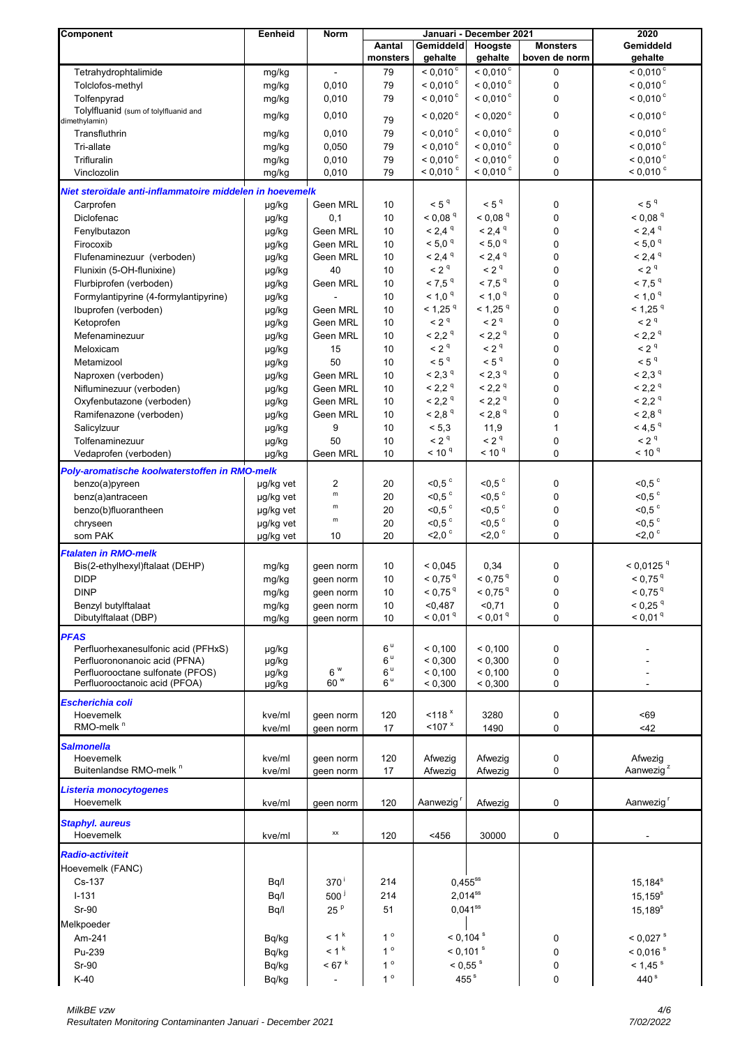| <b>Component</b>                                         | Eenheid          | Norm                |                    |                             | Januari - December 2021 | 2020                             |                                  |
|----------------------------------------------------------|------------------|---------------------|--------------------|-----------------------------|-------------------------|----------------------------------|----------------------------------|
|                                                          |                  |                     | Aantal<br>monsters | <b>Gemiddeld</b><br>gehalte | Hoogste<br>gehalte      | <b>Monsters</b><br>boven de norm | Gemiddeld<br>gehalte             |
| Tetrahydrophtalimide                                     |                  |                     |                    | $< 0.010$ <sup>c</sup>      | $< 0.010$ °             |                                  | $< 0.010$ <sup>c</sup>           |
| Tolclofos-methyl                                         | mg/kg            | 0,010               | 79<br>79           | $< 0.010$ <sup>c</sup>      | $< 0.010$ °             | $\mathbf 0$<br>0                 | $< 0.010$ °                      |
| Tolfenpyrad                                              | mg/kg<br>mg/kg   | 0,010               | 79                 | $< 0.010$ <sup>c</sup>      | $< 0,010$ <sup>c</sup>  | $\mathbf 0$                      | $< 0.010$ °                      |
| Tolylfluanid (sum of tolylfluanid and                    |                  |                     |                    |                             |                         |                                  |                                  |
| dimethylamin)                                            | mg/kg            | 0,010               | 79                 | $< 0.020$ °                 | $< 0.020$ <sup>c</sup>  | 0                                | $< 0.010$ °                      |
| Transfluthrin                                            | mg/kg            | 0,010               | 79                 | $< 0.010$ <sup>c</sup>      | $< 0.010$ <sup>c</sup>  | 0                                | $< 0,010$ <sup>c</sup>           |
| Tri-allate                                               | mg/kg            | 0,050               | 79                 | $< 0.010$ °                 | $< 0.010$ <sup>c</sup>  | 0                                | $< 0,010$ <sup>c</sup>           |
| Trifluralin                                              | mg/kg            | 0,010               | 79                 | $< 0.010$ °                 | $< 0.010$ <sup>c</sup>  | 0                                | $< 0.010$ <sup>c</sup>           |
| Vinclozolin                                              | mg/kg            | 0,010               | 79                 | $< 0.010$ °                 | $< 0.010$ °             | 0                                | $<$ 0,010 $\degree$              |
| Niet steroïdale anti-inflammatoire middelen in hoevemelk |                  |                     |                    |                             |                         |                                  |                                  |
| Carprofen                                                | µg/kg            | <b>Geen MRL</b>     | 10                 | < 5 <sup>q</sup>            | < 5 <sup>q</sup>        | 0                                | < 5 <sup>q</sup>                 |
| Diclofenac                                               | µg/kg            | 0,1                 | 10                 | $< 0.08$ <sup>q</sup>       | < 0.08 <sup>q</sup>     | $\mathbf 0$                      | < 0.08 <sup>q</sup>              |
| Fenylbutazon                                             | µg/kg            | Geen MRL            | 10                 | $< 2,4$ <sup>q</sup>        | $< 2,4$ $q$             | 0                                | $< 2,4$ <sup>q</sup>             |
| Firocoxib                                                | µg/kg            | Geen MRL            | 10                 | $< 5.0$ $q$                 | $< 5.0$ $q$             | 0                                | $< 5.0$ $q$                      |
| Flufenaminezuur (verboden)                               | µg/kg            | Geen MRL            | 10                 | $< 2,4$ <sup>q</sup>        | $< 2,4$ <sup>q</sup>    | 0                                | $< 2,4$ <sup>q</sup>             |
| Flunixin (5-OH-flunixine)                                | µg/kg            | 40                  | 10                 | < 2 <sup>q</sup>            | < 2 <sup>q</sup>        | $\mathbf 0$                      | < 2 <sup>q</sup>                 |
| Flurbiprofen (verboden)                                  | µg/kg            | Geen MRL            | 10                 | $< 7,5$ <sup>q</sup>        | $< 7,5$ <sup>q</sup>    | 0                                | $< 7.5$ $^{\rm q}$               |
| Formylantipyrine (4-formylantipyrine)                    | µg/kg            |                     | 10                 | $< 1.0$ $q$                 | < 1.0 <sup>q</sup>      | 0                                | $< 1.0$ $q$                      |
| Ibuprofen (verboden)                                     | µg/kg            | Geen MRL            | 10                 | $<$ 1,25 <sup>q</sup>       | $<$ 1,25 <sup>q</sup>   | 0                                | $<$ 1,25 <sup>q</sup>            |
| Ketoprofen                                               | µg/kg            | Geen MRL            | 10                 | < 2 <sup>q</sup>            | < 2 <sup>q</sup>        | 0                                | $< 2q$                           |
| Mefenaminezuur                                           | µg/kg            | Geen MRL            | 10                 | < 2.2 <sup>q</sup>          | < 2.2 <sup>q</sup>      | 0                                | < 2.2 <sup>q</sup>               |
| Meloxicam                                                | µg/kg            | 15                  | 10                 | < 2 <sup>q</sup>            | < 2 <sup>q</sup>        | 0                                | < 2 <sup>q</sup>                 |
| Metamizool                                               | µg/kg            | 50                  | $10$               | $< 5q$                      | < 5 <sup>q</sup>        | 0                                | < 5 <sup>q</sup>                 |
| Naproxen (verboden)                                      | µg/kg            | Geen MRL            | $10$               | < 2,3 <sup>q</sup>          | < 2,3 <sup>q</sup>      | 0                                | < 2.3 <sup>q</sup>               |
| Nifluminezuur (verboden)                                 | µg/kg            | Geen MRL            | 10                 | < 2.2 <sup>q</sup>          | < 2,2 <sup>q</sup>      | $\pmb{0}$                        | < 2,2 <sup>q</sup>               |
| Oxyfenbutazone (verboden)                                | µg/kg            | Geen MRL            | 10                 | < 2,2 <sup>q</sup>          | < 2,2 <sup>q</sup>      | 0                                | < 2.2 <sup>q</sup>               |
| Ramifenazone (verboden)                                  | µg/kg            | Geen MRL            | 10                 | < 2,8 <sup>q</sup>          | $< 2,8$ <sup>q</sup>    | $\mathbf 0$                      | $<$ 2,8 $^{\rm q}$               |
| Salicylzuur                                              | µg/kg            | 9                   | 10                 | < 5,3                       | 11,9                    | $\mathbf{1}$                     | $<$ 4,5 $q$                      |
| Tolfenaminezuur                                          | µg/kg            | 50                  | 10                 | < 2 <sup>q</sup>            | < 2 <sup>q</sup>        | $\mathbf 0$                      | < 2 <sup>q</sup>                 |
| Vedaprofen (verboden)                                    | µg/kg            | Geen MRL            | 10                 | < 10 <sup>q</sup>           | < 10 <sup>9</sup>       | 0                                | < 10 <sup>q</sup>                |
| Poly-aromatische koolwaterstoffen in RMO-melk            |                  |                     |                    |                             |                         |                                  |                                  |
| benzo(a)pyreen                                           | µg/kg vet        | 2                   | 20                 | $<$ 0,5 $\degree$           | $<$ 0,5 $\degree$       | 0                                | $<$ 0,5 $\degree$                |
| benz(a)antraceen                                         | µg/kg vet        | m                   | 20                 | $<$ 0,5 $\degree$           | $<$ 0,5 $\degree$       | 0                                | $<$ 0,5 $\degree$                |
| benzo(b)fluorantheen                                     | µg/kg vet        | m                   | 20                 | $<$ 0,5 $\degree$           | $<$ 0,5 $\degree$       | 0                                | $<$ 0,5 $\degree$                |
| chryseen                                                 | µg/kg vet        | ${\sf m}$           | 20                 | $<0,5$ $^{\circ}$           | $<$ 0,5 $\degree$       | $\pmb{0}$                        | $<$ 0,5 $\degree$                |
| som PAK                                                  | µg/kg vet        | 10                  | 20                 | $<$ 2,0 $\degree$           | $<$ 2,0 $\degree$       | 0                                | $2,0$ <sup>c</sup>               |
| <b>Ftalaten in RMO-melk</b>                              |                  |                     |                    |                             |                         |                                  |                                  |
| Bis(2-ethylhexyl)ftalaat (DEHP)                          | mg/kg            | geen norm           | 10                 | < 0.045                     | 0,34                    | $\pmb{0}$                        | $< 0.0125$ <sup>q</sup>          |
| <b>DIDP</b>                                              | mg/kg            | geen norm           | 10                 | $< 0.75$ <sup>q</sup>       | $< 0.75$ <sup>q</sup>   | 0                                | $< 0.75$ <sup>q</sup>            |
| <b>DINP</b>                                              | mg/kg            | geen norm           | 10                 | $< 0.75$ <sup>q</sup>       | $< 0.75$ <sup>q</sup>   | 0                                | $< 0.75$ <sup>q</sup>            |
| Benzyl butylftalaat                                      | mg/kg            | geen norm           | $10$               | < 0.487                     | $0,71$                  | $\mathbf 0$                      | $< 0.25$ <sup>q</sup>            |
| Dibutylftalaat (DBP)                                     | mg/kg            | geen norm           | 10                 | < 0.01 <sup>q</sup>         | < 0.01 <sup>q</sup>     | 0                                | < 0.01 <sup>q</sup>              |
|                                                          |                  |                     |                    |                             |                         |                                  |                                  |
| <b>PFAS</b><br>Perfluorhexanesulfonic acid (PFHxS)       | µg/kg            |                     | 6 <sup>u</sup>     | < 0,100                     | < 0,100                 | 0                                |                                  |
| Perfluorononanoic acid (PFNA)                            | µg/kg            |                     | $6\,^{\rm u}$      | < 0,300                     | < 0,300                 | 0                                |                                  |
| Perfluorooctane sulfonate (PFOS)                         | µg/kg            | 6 W                 | $6^{\,\text{u}}$   | < 0,100                     | < 0,100                 | 0                                |                                  |
| Perfluorooctanoic acid (PFOA)                            | µg/kg            | 60 W                | 6 <sup>u</sup>     | < 0,300                     | < 0,300                 | 0                                |                                  |
| Escherichia coli                                         |                  |                     |                    |                             |                         |                                  |                                  |
| Hoevemelk                                                | kve/ml           | geen norm           | 120                | $<$ 118 $x$                 | 3280                    | 0                                | < 69                             |
| RMO-melk <sup>n</sup>                                    | kve/ml           | geen norm           | 17                 | < 107 x                     | 1490                    | 0                                | <42                              |
|                                                          |                  |                     |                    |                             |                         |                                  |                                  |
| <b>Salmonella</b>                                        |                  |                     |                    |                             |                         |                                  |                                  |
| Hoevemelk<br>Buitenlandse RMO-melk <sup>n</sup>          | kve/ml<br>kve/ml | geen norm           | 120<br>17          | Afwezig<br>Afwezig          | Afwezig<br>Afwezig      | 0<br>0                           | Afwezig<br>Aanwezig <sup>z</sup> |
|                                                          |                  | geen norm           |                    |                             |                         |                                  |                                  |
| Listeria monocytogenes                                   |                  |                     |                    |                             |                         |                                  |                                  |
| Hoevemelk                                                | kve/ml           | geen norm           | 120                | Aanwezig                    | Afwezig                 | 0                                | Aanwezig <sup>r</sup>            |
| <b>Staphyl. aureus</b>                                   |                  |                     |                    |                             |                         |                                  |                                  |
| Hoevemelk                                                | kve/ml           | ХX                  | 120                | < 456                       | 30000                   | 0                                |                                  |
|                                                          |                  |                     |                    |                             |                         |                                  |                                  |
| <b>Radio-activiteit</b>                                  |                  |                     |                    |                             |                         |                                  |                                  |
| Hoevemelk (FANC)                                         |                  |                     |                    |                             |                         |                                  |                                  |
| Cs-137                                                   | Bq/l             | $370^{\mathrm{t}}$  | 214                | $0,455^{ss}$                |                         |                                  | $15,184^s$                       |
| $I - 131$                                                | Bq/l             | $500^{\frac{1}{2}}$ | 214                | $2,014^{ss}$                |                         |                                  | $15, 159^s$                      |
| Sr-90                                                    | Bq/l             | 25 <sup>p</sup>     | 51                 | $0,041$ <sup>ss</sup>       |                         |                                  | $15,189^s$                       |
| Melkpoeder                                               |                  |                     |                    |                             |                         |                                  |                                  |
| Am-241                                                   | Bq/kg            | < 1 <sup>k</sup>    | $1^{\circ}$        |                             | $< 0,104$ s             | 0                                | $< 0.027$ s                      |
| Pu-239                                                   | Bq/kg            | $<$ 1 $^{\rm k}$    | $1^{\circ}$        | $< 0,101$ s                 |                         | 0                                | $< 0,016$ s                      |
| $Sr-90$                                                  | Bq/kg            | $< 67$ $k$          | $1^{\circ}$        | $< 0.55$ s                  |                         | 0                                | $< 1,45$ s                       |
| $K-40$                                                   | Bq/kg            | $\blacksquare$      | $1^{\circ}$        | 455 <sup>s</sup>            |                         | 0                                | 440 $\mathrm{s}$                 |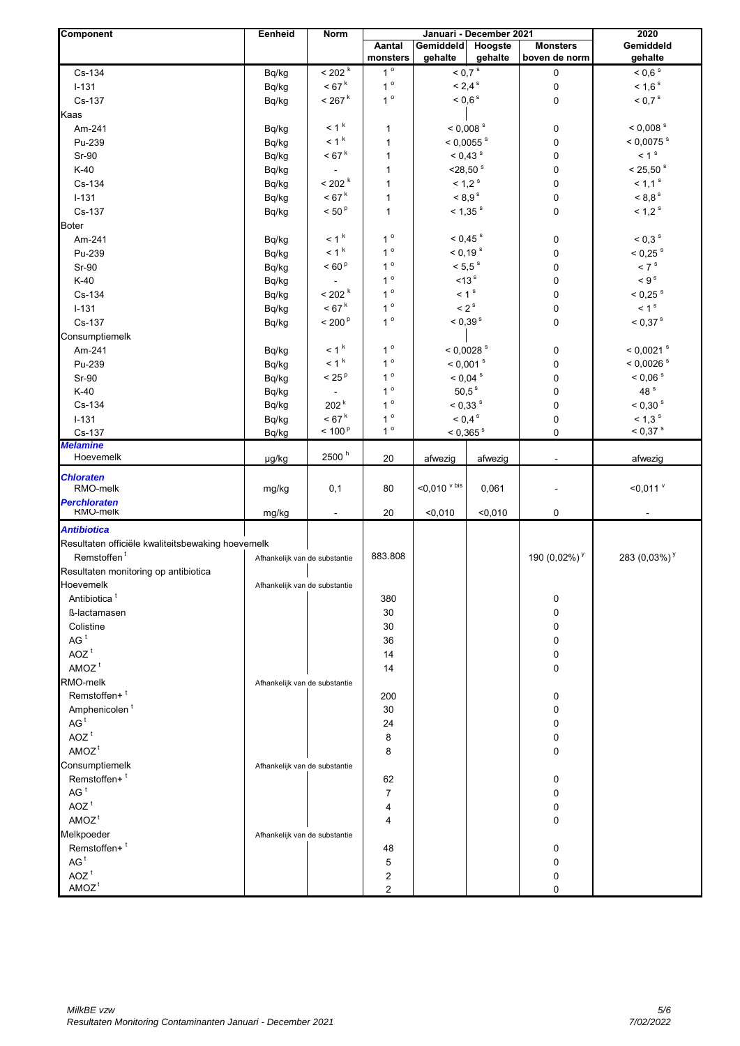| Component                                         | Eenheid                       | Norm                 |                    | Januari - December 2021 | 2020               |                                  |                             |
|---------------------------------------------------|-------------------------------|----------------------|--------------------|-------------------------|--------------------|----------------------------------|-----------------------------|
|                                                   |                               |                      | Aantal<br>monsters | Gemiddeld<br>gehalte    | Hoogste<br>gehalte | <b>Monsters</b><br>boven de norm | Gemiddeld<br>gehalte        |
| Cs-134                                            | Bq/kg                         | $<$ 202 $^{\rm k}$   | $1^{\circ}$        | $<$ 0,7 $^{\rm s}$      |                    | 0                                | $< 0.6$ s                   |
| $I-131$                                           | Bq/kg                         | $< 67^{\rm k}$       | $1^{\circ}$        | $< 2,4$ <sup>s</sup>    |                    | $\pmb{0}$                        | $< 1,6$ <sup>s</sup>        |
| Cs-137                                            | Bq/kg                         | $< 267$ <sup>k</sup> | $1^{\circ}$        | $< 0.6$ s               |                    | 0                                | $< 0.7$ <sup>s</sup>        |
| Kaas                                              |                               |                      |                    |                         |                    |                                  |                             |
| Am-241                                            | Bq/kg                         | $<$ 1 $^{\rm k}$     | 1                  | $< 0,008$ s             |                    | 0                                | $<$ 0,008 $^{\rm s}$        |
| Pu-239                                            | Bq/kg                         | < 1 <sup>k</sup>     | 1                  | $< 0,0055$ s            |                    | 0                                | $< 0,0075$ s                |
| Sr-90                                             | Bq/kg                         | < 67 <sup>k</sup>    | 1                  | $< 0.43$ s              |                    | 0                                | < 1 <sup>s</sup>            |
| $K-40$                                            | Bq/kg                         |                      | 1                  | $<$ 28,50 $s$           |                    | 0                                | $< 25,50$ s                 |
| Cs-134                                            | Bq/kg                         | $< 202$ $k$          | $\mathbf{1}$       | $< 1.2$ s               |                    | 0                                | $< 1.1$ s                   |
| $I-131$                                           | Bq/kg                         | < 67 <sup>k</sup>    | 1                  | < 8.9 <sup>s</sup>      |                    | 0                                | $< 8.8$ s                   |
| Cs-137                                            | Bq/kg                         | $<$ 50 $^{\rm p}$    | 1                  | $<$ 1,35 $s$            |                    | 0                                | $< 1.2$ s                   |
| <b>Boter</b>                                      |                               |                      |                    |                         |                    |                                  |                             |
| Am-241                                            | Bq/kg                         | $< 1k$               | $1^{\circ}$        | $< 0.45$ s              |                    | 0                                | $< 0.3$ s                   |
| Pu-239                                            | Bq/kg                         | < 1 <sup>k</sup>     | $1^{\circ}$        | $< 0.19$ s              |                    | 0                                | $< 0.25$ s                  |
| Sr-90                                             | Bq/kg                         | < 60 <sup>p</sup>    | $1^{\circ}$        | $< 5.5$ s               |                    | 0                                | $< 7$ s                     |
| $K-40$                                            | Bq/kg                         |                      | $1^{\circ}$        | <13 <sup>s</sup>        |                    | 0                                | $\leq 9^s$                  |
| Cs-134                                            | Bq/kg                         | < 202 <sup>k</sup>   | $1^{\circ}$        | < 1 <sup>s</sup>        |                    | 0                                | $< 0.25$ s                  |
| $I - 131$                                         | Bq/kg                         | < 67 <sup>k</sup>    | $1^{\circ}$        | $<$ 2 $^{\rm s}$        |                    | 0                                | < 1 <sup>s</sup>            |
| Cs-137                                            | Bq/kg                         | < 200 <sup>p</sup>   | $1^{\circ}$        | $< 0.39$ s              |                    | 0                                | $< 0.37$ s                  |
| Consumptiemelk                                    |                               |                      |                    |                         |                    |                                  |                             |
| Am-241                                            | Bq/kg                         | $< 1k$               | $1^{\circ}$        |                         | $< 0,0028$ s       | 0                                | $<$ 0,0021 $\,$ s           |
| Pu-239                                            | Bq/kg                         | $< 1k$               | $1^{\circ}$        |                         | $< 0,001$ s        | 0                                | $< 0,0026$ s                |
| Sr-90                                             | Bq/kg                         | < 25 <sup>p</sup>    | $1^{\circ}$        | $< 0.04$ s              |                    | 0                                | $< 0.06$ s                  |
| $K-40$                                            | Bq/kg                         |                      | $1^{\circ}$        | $50,5^{\text{ s}}$      |                    | 0                                | 48 <sup>s</sup>             |
| Cs-134                                            | Bq/kg                         | 202 <sup>k</sup>     | $1^{\circ}$        | $< 0.33$ s              |                    | 0                                | $<$ 0,30 $^{\rm s}$         |
| $I - 131$                                         | Bq/kg                         | < 67 <sup>k</sup>    | $1^{\circ}$        | $< 0.4$ s               |                    | 0                                | $< 1.3$ s                   |
| Cs-137                                            | Bq/kg                         | $< 100^{\circ}$      | $1^{\circ}$        | $< 0.365$ <sup>s</sup>  |                    | 0                                | $< 0.37$ s                  |
| <b>Melamine</b>                                   |                               |                      |                    |                         |                    |                                  |                             |
| Hoevemelk                                         | µg/kg                         | 2500 <sup>h</sup>    | 20                 | afwezig                 | afwezig            |                                  | afwezig                     |
| <b>Chloraten</b><br>RMO-melk                      | mg/kg                         | 0,1                  | 80                 | $<$ 0,010 $v$ bis       | 0,061              |                                  | $<$ 0,011 $v$               |
| <b>Perchloraten</b><br>RMO-melk                   | mg/kg                         | $\blacksquare$       | 20                 | < 0,010                 | $0,010$            | 0                                |                             |
| <b>Antibiotica</b>                                |                               |                      |                    |                         |                    |                                  |                             |
| Resultaten officiële kwaliteitsbewaking hoevemelk |                               |                      |                    |                         |                    |                                  |                             |
| Remstoffen <sup>t</sup>                           | Afhankelijk van de substantie |                      | 883.808            |                         |                    | 190 $(0.02\%)$ <sup>y</sup>      | 283 $(0,03\%)$ <sup>y</sup> |
| Resultaten monitoring op antibiotica              |                               |                      |                    |                         |                    |                                  |                             |
| Hoevemelk                                         | Afhankelijk van de substantie |                      |                    |                         |                    |                                  |                             |
| Antibiotica <sup>t</sup>                          |                               |                      | 380                |                         |                    | 0                                |                             |
| ß-lactamasen                                      |                               |                      | 30                 |                         |                    | 0                                |                             |
| Colistine                                         |                               |                      | 30                 |                         |                    | 0                                |                             |
| AG <sup>t</sup>                                   |                               |                      | 36                 |                         |                    | 0                                |                             |
| $AOZ$ <sup>t</sup>                                |                               |                      | 14                 |                         |                    | 0                                |                             |
| AMOZ <sup>t</sup>                                 |                               |                      | 14                 |                         |                    | 0                                |                             |
| RMO-melk                                          | Afhankelijk van de substantie |                      |                    |                         |                    |                                  |                             |
| Remstoffen+ <sup>t</sup>                          |                               |                      | 200                |                         |                    | 0                                |                             |
| Amphenicolen <sup>t</sup>                         |                               |                      | 30                 |                         |                    | 0                                |                             |
| AG <sup>t</sup>                                   |                               |                      | 24                 |                         |                    | 0                                |                             |
| $AOZ$ <sup>t</sup>                                |                               |                      | 8                  |                         |                    | 0                                |                             |
| AMOZ <sup>t</sup>                                 |                               |                      | 8                  |                         |                    | 0                                |                             |
| Consumptiemelk                                    | Afhankelijk van de substantie |                      |                    |                         |                    |                                  |                             |
| Remstoffen+ <sup>t</sup>                          |                               |                      | 62                 |                         |                    | 0                                |                             |
| AG <sup>t</sup>                                   |                               |                      | $\overline{7}$     |                         |                    | 0                                |                             |
| $AOZ$ <sup>t</sup>                                |                               |                      | 4                  |                         |                    | 0                                |                             |
| AMOZ <sup>t</sup>                                 |                               |                      | 4                  |                         |                    | 0                                |                             |
| Melkpoeder                                        | Afhankelijk van de substantie |                      |                    |                         |                    |                                  |                             |
| Remstoffen+ <sup>t</sup>                          |                               |                      | 48                 |                         |                    | $\Omega$                         |                             |
| AG <sup>t</sup>                                   |                               |                      | 5                  |                         |                    | 0                                |                             |
| $AOZ$ <sup>t</sup>                                |                               |                      | 2                  |                         |                    | 0                                |                             |
| AMOZ <sup>t</sup>                                 |                               |                      | $\overline{2}$     |                         |                    | 0                                |                             |
|                                                   |                               |                      |                    |                         |                    |                                  |                             |